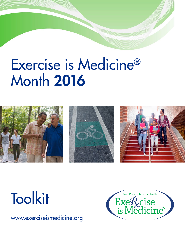# Exercise is Medicine® Month 2016







# **Toolkit**

www.exerciseismedicine.org

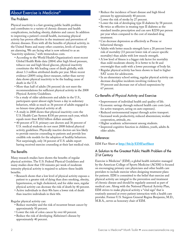# About Exercise is Medicine®

## The Problem

Physical inactivity is a fast-growing public health problem and contributes to a variety of chronic diseases and health complications, including obesity, diabetes and cancer. In addition to improving a patient's overall health, increasing physical activity has proven effective in the treatment and prevention of chronic diseases. Even with all the benefits of physical activity, in the United States and many other countries, levels of inactivity are alarming. We are facing what is now referred to as an "inactivity epidemic," with tremendous costs.

- According to the World Health Organization's most recent Global Health Risks data (2004) after high blood pressure, tobacco use and high blood glucose, physical inactivity constitutes the 4th leading cause of death globally, with about 3.3 million attributed deaths per year. More recent evidence (2009) using direct measure, rather than survey data shows physical inactivity to be the leading cause of death in the U.S.
- More than half of adults (56 percent) do not meet the recommendations for sufficient physical activity in the 2008 Physical Activity Guidelines.
- In a study of older adolescents and adults in the U.S., participants spent almost eight hours a day in sedentary behaviors, while as much as 36 percent of adults engaged in no leisure-time physical activity at all.
- A study in 2008 shows that physical inactivity costs the U.S. Health Care System \$330 per person each year, which equals more than \$102 billion dollars annually.
- 40 percent of U.S. primary care doctors and 36 percent of U.S. medical students do not meet 2008 federal physical activity guidelines. Physically inactive doctors are less likely to provide exercise counseling to patients and provide less credible role models for the adoption of healthy behaviors. Not surprisingly, only 34 percent of U.S. adults report having received exercise counseling at their last medical visit.

#### The Benefits

Many research studies have shown the benefits of regular physical activities. The U.S. Federal Physical Guidelines and many studies show that 150 minutes per week of moderate intensity physical activity is required to achieve these health benefits.

- Research shows that a low level of physical activity exposes a patient to a greater risk of dying than does smoking, obesity, hypertension, or high cholesterol, and for older men, regular physical activity can decrease the risk of death by 40 percent.
- Active individuals in their 80s have a lower risk of death than inactive individuals in their 60s.

Regular physical activity can:

- Reduce mortality and the risk of recurrent breast cancer by approximately 50 percent.
- Lower the risk of colon cancer by over 60 percent.
- Reduce the risk of developing Alzheimer's disease by approximately 40 percent.
- Reduce the incidence of heart disease and high blood pressure by approximately 40 percent.
- Lower the risk of stroke by 27 percent.
- Lower the risk of developing type II diabetes by 58 percent.
- Be twice as effective in treating type II diabetes as the standard insulin prescription and can save \$2250 per person per year when compared to the cost of standard drug treatment.
- Can decrease depression as effectively as Prozac or behavioral therapy.
- Adults with better muscle strength have a 20 percent lower risk of mortality (33 percent lower risk of cancer specific mortality) than adults with low muscle strength.
- A low level of fitness is a bigger risk factor for mortality than mild-moderate obesity. It is better to be fit and overweight than unfit with a lower percentage of body fat.
- Regular physical activity has been shown to lead to higher SAT scores for adolescents.
- In an elementary school setting, regular physical activity can decrease discipline incidents involving violence by 59 percent and decrease out of school suspensions by 67 percent.

# Co-Benefits of Physical Activity and Exercise

- Improvement of individual health and quality of life.
- Economic savings through reduced health care costs (and, for active transport, saving on auto expenses).
- Reduced environmental impact through active transport.
- Increased work productivity, reduced absenteeism; worker cooperation, attitude, etc.
- Higher academic achievement among students.
- Improved cognitive function in children, youth, adults & older adults.

#### Reference:

EIM Fact Sheet at **http://bit.ly/EIMFactSheet**

### A Solution to the Greatest Public Health Problem of the 21st Century

Exercise is Medicine® (EIM), a global health initiative managed by the American College of Sports Medicine (ACSM) is focused on encouraging primary care physicians and other health care providers to include exercise when designing treatment plans for patients. EIM is committed to the belief that exercise and physical activity are integral to the prevention and treatment of chronic disease and should be regularly assessed as part of medical care. Along with the National Physical Activity Plan, EIM strives to make physical activity a "vital sign" that is routinely assessed at every patient interaction with a health care provider. Former U.S. Surgeon General Regina Benjamin, M.D., M.B.A., serves as honorary chair of EIM.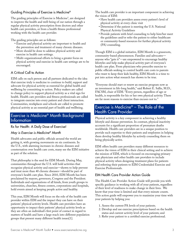## Guiding Principles of Exercise is Medicine®

The guiding principles of Exercise is Medicine® , are designed to improve the health and well-being of our nation through a regular physical activity prescription from doctors and other health care providers, or from a health fitness professional working with the health care provider.

The guiding principles are as follows:

- Exercise and physical activity are important to health and the prevention and treatment of many chronic diseases.
- More should be done to address physical activity and exercise in health care settings.
- Multi-organizational efforts to bring a greater focus on physical activity and exercise in health care settings are to be encouraged.

# A Critical Call to Action

EIM calls on each person and all partners dedicated to the idea that exercise truly is medicine to continue to build, support and advocate for physical activity as essential for global health and wellbeing by committing to action. Policy makers are called to change policy to support physical activity as a vital sign for health. Health care providers and fitness professionals are called to integrate exercise into every patient and client interaction. Communities, workplaces and schools are called to promote physical activity as an essential part of health and wellbeing.

# Exercise is Medicine® Month Background Information

Rx for Health: A Daily Dose of Exercise!

## *May is Exercise is Medicine® Month*

Health advocates and public officials around the world are getting it, with growing movements on six continents. In the U.S., with alarming increases in chronic diseases and consternation over health care costs, many see the EIM initiative as part of the solution.

That philosophy is the seed for EIM Month. During May, communities throughout the U.S. will hold activities that recognize physical activity and exercise—shown to help prevent and treat more than 40 chronic diseases—should be part of everyone's health care plan. Since 2010, EIM Month has been proclaimed by mayors, governors, Congress and the President. Individuals and organizations of all kinds, from youth groups to universities, churches, fitness centers, corporations and hospitals, hold events aimed at keeping people active and healthy.

This year, EIM Month will focus on the role of the health care provider within EIM and the impact they can have on their patients' physical activity levels. Health care providers have an opportunity to impact their patients' physical activity levels as they are often an individual's first point of contact in regard to matters of health and have a large reach into different population groups that present many different health issues[1].

The health care provider is an important component in achieving the vision of EIM:

- Have health care providers assess every patient's level of physical activity at every clinic visit
- Determine if the patient is meeting the U.S. National Physical Activity Guidelines
- Provide patients with brief counseling to help him/her meet the guidelines and/or refer the patient to either healthcare or community-based resources for further physical activity (PA) counseling.

Though EIM is a global initiative, EIM Month is a grassroots, community-based phenomenon. Families and advocates anyone who "gets it"—are empowered to encourage healthy lifestyles and help make physical activity part of everyone's health care plan. From physicians who prescribe exercise to public officials seeking to control health care costs to parents who want to keep their kids healthy, EIM Month is a time to put into action what research has shown to be true.

"Everyone should start or renew an exercise program now as an investment in life-long health," said Robert E. Sallis, M.D., FACSM, chair of EIM. "Every person, regardless of age or health, is responsible for his or her own physical activity. There are far more reasons to exercise than excuses not to."

# Exercise is Medicine® – The Role of the Health Care Provider

Physical activity is a key component in achieving a healthy lifestyle and disease prevention. In contrast, physical inactivity accounts for a significant proportion of premature deaths worldwide. Health care providers are in a unique position to provide such expertise to their patients and employees in helping them develop healthy lifestyles by actively counseling them on being physically active.

EIM offers health care providers many different resources to achieve the vision of EIM in their clinical setting and to achieve the mission of EIM, which is focused on encouraging primary care physicians and other health care providers to include physical activity when designing treatment plans for patients and referring their patients to EIM Credentialed Exercise and Exercise Professionals.

## EIM Health Care Provider Action Guide

The Health Care Provider Action Guide will provide you with specific guidance in working with all of your patients, regardless of their level of readiness to make change in their lives. We know that your time is limited and that every minute counts. This action guide will empower you to maximize your time with your patients by helping you:

- 1. Assess the current PA levels of your patients.
- 2. Develop and use exercise prescriptions based on the health status and current activity level of your patients; and
- 3. Refer your patient to a certified exercise professional.